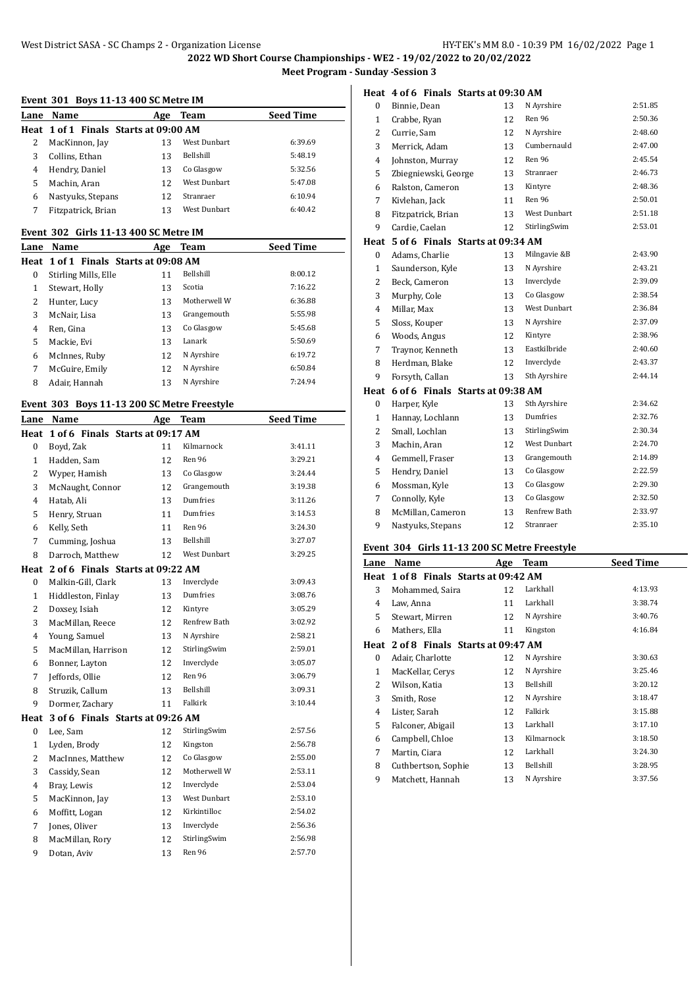#### **Event 301 Boys 11-13 400 SC Metre IM**

| Lane | Name                                  | Age | Team                | <b>Seed Time</b> |
|------|---------------------------------------|-----|---------------------|------------------|
|      | Heat 1 of 1 Finals Starts at 09:00 AM |     |                     |                  |
|      | MacKinnon, Jay                        | 13  | <b>West Dunbart</b> | 6:39.69          |
|      | Collins, Ethan                        | 13  | <b>Bellshill</b>    | 5:48.19          |
| 4    | Hendry, Daniel                        | 13  | Co Glasgow          | 5:32.56          |
| 5    | Machin, Aran                          | 12  | <b>West Dunbart</b> | 5:47.08          |
| 6    | Nastyuks, Stepans                     | 12  | Stranraer           | 6:10.94          |
|      | Fitzpatrick, Brian                    | 13  | West Dunbart        | 6:40.42          |

#### **Event 302 Girls 11-13 400 SC Metre IM**

| Lane | Name                                  | Age | Team             | <b>Seed Time</b> |
|------|---------------------------------------|-----|------------------|------------------|
|      | Heat 1 of 1 Finals Starts at 09:08 AM |     |                  |                  |
| 0    | Stirling Mills, Elle                  | 11  | <b>Bellshill</b> | 8:00.12          |
| 1    | Stewart, Holly                        | 13  | Scotia           | 7:16.22          |
| 2    | Hunter, Lucy                          | 13  | Motherwell W     | 6:36.88          |
| 3    | McNair, Lisa                          | 13  | Grangemouth      | 5:55.98          |
| 4    | Ren, Gina                             | 13  | Co Glasgow       | 5:45.68          |
| 5    | Mackie. Evi                           | 13  | Lanark           | 5:50.69          |
| 6    | McInnes, Ruby                         | 12  | N Ayrshire       | 6:19.72          |
| 7    | McGuire, Emily                        | 12  | N Ayrshire       | 6:50.84          |
| 8    | Adair, Hannah                         | 13  | N Ayrshire       | 7:24.94          |

#### **Event 303 Boys 11-13 200 SC Metre Freestyle**

| Lane Name           | Age | <b>Team</b>         | <b>Seed Time</b>                                                                                              |
|---------------------|-----|---------------------|---------------------------------------------------------------------------------------------------------------|
| Heat                |     |                     |                                                                                                               |
| Boyd, Zak           | 11  | Kilmarnock          | 3:41.11                                                                                                       |
| Hadden, Sam         | 12  | Ren 96              | 3:29.21                                                                                                       |
| Wyper, Hamish       | 13  | Co Glasgow          | 3:24.44                                                                                                       |
| McNaught, Connor    | 12  | Grangemouth         | 3:19.38                                                                                                       |
| Hatab, Ali          | 13  | Dumfries            | 3:11.26                                                                                                       |
| Henry, Struan       | 11  | Dumfries            | 3:14.53                                                                                                       |
| Kelly, Seth         | 11  | <b>Ren 96</b>       | 3:24.30                                                                                                       |
| Cumming, Joshua     | 13  | Bellshill           | 3:27.07                                                                                                       |
| Darroch, Matthew    | 12  | <b>West Dunbart</b> | 3:29.25                                                                                                       |
|                     |     |                     |                                                                                                               |
| Malkin-Gill, Clark  | 13  | Inverclyde          | 3:09.43                                                                                                       |
| Hiddleston, Finlay  | 13  | Dumfries            | 3:08.76                                                                                                       |
| Doxsey, Isiah       | 12  | Kintyre             | 3:05.29                                                                                                       |
| MacMillan, Reece    | 12  | Renfrew Bath        | 3:02.92                                                                                                       |
| Young, Samuel       | 13  | N Ayrshire          | 2:58.21                                                                                                       |
| MacMillan. Harrison | 12  | StirlingSwim        | 2:59.01                                                                                                       |
| Bonner, Layton      | 12  | Inverclyde          | 3:05.07                                                                                                       |
| Jeffords, Ollie     | 12  | Ren 96              | 3:06.79                                                                                                       |
| Struzik, Callum     | 13  | Bellshill           | 3:09.31                                                                                                       |
| Dormer, Zachary     | 11  | Falkirk             | 3:10.44                                                                                                       |
|                     |     |                     |                                                                                                               |
| Lee, Sam            | 12  | StirlingSwim        | 2:57.56                                                                                                       |
| Lyden, Brody        | 12  | Kingston            | 2:56.78                                                                                                       |
| MacInnes, Matthew   | 12  | Co Glasgow          | 2:55.00                                                                                                       |
| Cassidy, Sean       | 12  | Motherwell W        | 2:53.11                                                                                                       |
| Bray, Lewis         | 12  | Inverclyde          | 2:53.04                                                                                                       |
| MacKinnon, Jay      | 13  | <b>West Dunbart</b> | 2:53.10                                                                                                       |
| Moffitt, Logan      | 12  | Kirkintilloc        | 2:54.02                                                                                                       |
| Jones, Oliver       | 13  | Inverclyde          | 2:56.36                                                                                                       |
| MacMillan, Rory     | 12  | StirlingSwim        | 2:56.98                                                                                                       |
| Dotan, Aviv         | 13  | Ren 96              | 2:57.70                                                                                                       |
|                     |     |                     | 1 of 6 Finals Starts at 09:17 AM<br>2 of 6 Finals Starts at 09:22 AM<br>Heat 3 of 6 Finals Starts at 09:26 AM |

## **Heat 4 of 6 Finals Starts at 09:30 AM**

| $\bf{0}$       | Binnie, Dean                     | 13 | N Ayrshire          | 2:51.85 |
|----------------|----------------------------------|----|---------------------|---------|
| 1              | Crabbe, Ryan                     | 12 | <b>Ren 96</b>       | 2:50.36 |
| 2              | Currie, Sam<br>12                |    | N Ayrshire          | 2:48.60 |
| 3              | Merrick, Adam                    | 13 | Cumbernauld         | 2:47.00 |
| $\overline{4}$ | Johnston, Murray                 | 12 | Ren 96              | 2:45.54 |
| 5              | Zbiegniewski, George             | 13 | Stranraer           | 2:46.73 |
| 6              | Ralston, Cameron                 | 13 | Kintyre             | 2:48.36 |
| 7              | Kivlehan, Jack                   | 11 | Ren 96              | 2:50.01 |
| 8              | Fitzpatrick, Brian               | 13 | <b>West Dunbart</b> | 2:51.18 |
| 9              | Cardie, Caelan                   | 12 | StirlingSwim        | 2:53.01 |
| Heat           | 5 of 6 Finals Starts at 09:34 AM |    |                     |         |
| $\bf{0}$       | Adams, Charlie                   | 13 | Milngavie &B        | 2:43.90 |
| $\mathbf{1}$   | Saunderson, Kyle                 | 13 | N Ayrshire          | 2:43.21 |
| 2              | Beck, Cameron                    | 13 | Inverclyde          | 2:39.09 |
| 3              | Murphy, Cole                     | 13 | Co Glasgow          | 2:38.54 |
| 4              | Millar, Max                      | 13 | <b>West Dunbart</b> | 2:36.84 |
| 5              | Sloss, Kouper                    | 13 | N Ayrshire          | 2:37.09 |
| 6              | Woods, Angus                     | 12 | Kintyre             | 2:38.96 |
| 7              | Traynor, Kenneth                 | 13 | Eastkilbride        | 2:40.60 |
| 8              | Herdman, Blake                   | 12 | Inverclyde          | 2:43.37 |
| 9              | Forsyth, Callan                  | 13 | Sth Ayrshire        | 2:44.14 |
| Heat           | 6 of 6 Finals Starts at 09:38 AM |    |                     |         |
| $\mathbf{0}$   | Harper, Kyle                     | 13 | Sth Ayrshire        | 2:34.62 |
| $\mathbf{1}$   | Hannay, Lochlann                 | 13 | Dumfries            | 2:32.76 |
| 2              | Small, Lochlan                   | 13 | StirlingSwim        | 2:30.34 |
| 3              | Machin, Aran                     | 12 | <b>West Dunbart</b> | 2:24.70 |
| $\overline{4}$ | Gemmell, Fraser                  | 13 | Grangemouth         | 2:14.89 |
| 5              | Hendry, Daniel                   | 13 | Co Glasgow          | 2:22.59 |
| 6              | Mossman, Kyle                    | 13 | Co Glasgow          | 2:29.30 |
| 7              | Connolly, Kyle                   | 13 | Co Glasgow          | 2:32.50 |
| 8              | McMillan, Cameron                | 13 | Renfrew Bath        | 2:33.97 |
| 9              | Nastyuks, Stepans                | 12 | Stranraer           | 2:35.10 |

## **Event 304 Girls 11-13 200 SC Metre Freestyle**

| Lane | Name                                  | Age | <b>Team</b> | <b>Seed Time</b> |
|------|---------------------------------------|-----|-------------|------------------|
|      | Heat 1 of 8 Finals Starts at 09:42 AM |     |             |                  |
| 3    | Mohammed, Saira                       | 12  | Larkhall    | 4:13.93          |
| 4    | Law, Anna                             | 11  | Larkhall    | 3:38.74          |
| 5    | Stewart, Mirren                       | 12  | N Ayrshire  | 3:40.76          |
| 6    | Mathers, Ella                         | 11  | Kingston    | 4:16.84          |
| Heat | 2 of 8 Finals Starts at 09:47 AM      |     |             |                  |
| 0    | Adair, Charlotte                      | 12  | N Ayrshire  | 3:30.63          |
| 1    | MacKellar, Cerys                      | 12  | N Ayrshire  | 3:25.46          |
| 2    | Wilson, Katia                         | 13  | Bellshill   | 3:20.12          |
| 3    | Smith, Rose                           | 12  | N Ayrshire  | 3:18.47          |
| 4    | Lister, Sarah                         | 12  | Falkirk     | 3:15.88          |
| 5    | Falconer, Abigail                     | 13  | Larkhall    | 3:17.10          |
| 6    | Campbell, Chloe                       | 13  | Kilmarnock  | 3:18.50          |
| 7    | Martin, Ciara                         | 12  | Larkhall    | 3:24.30          |
| 8    | Cuthbertson, Sophie                   | 13  | Bellshill   | 3:28.95          |
| 9    | Matchett, Hannah                      | 13  | N Ayrshire  | 3:37.56          |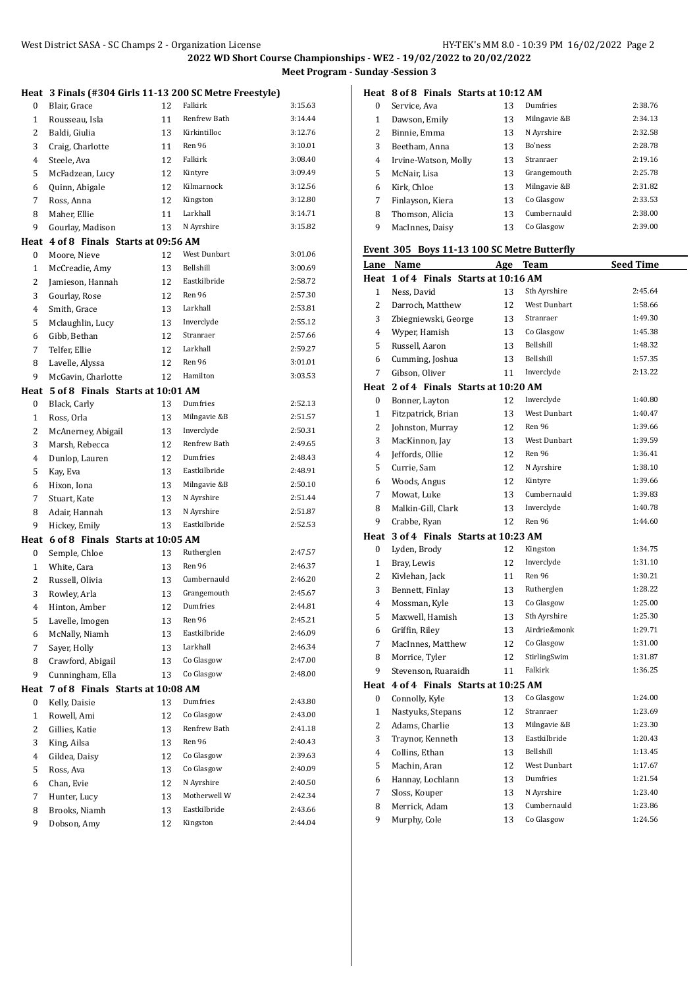|                |                                       |          | Heat 3 Finals (#304 Girls 11-13 200 SC Metre Freestyle) |         |
|----------------|---------------------------------------|----------|---------------------------------------------------------|---------|
| 0              | Blair, Grace                          | 12       | Falkirk                                                 | 3:15.63 |
| 1              | Rousseau, Isla                        | 11       | Renfrew Bath                                            | 3:14.44 |
| 2              | Baldi, Giulia                         | 13       | Kirkintilloc                                            | 3:12.76 |
| 3              | Craig, Charlotte                      | 11       | Ren 96                                                  | 3:10.01 |
| $\overline{4}$ | Steele, Ava                           | 12       | Falkirk                                                 | 3:08.40 |
| 5              | McFadzean, Lucy                       | 12       | Kintyre                                                 | 3:09.49 |
| 6              | Quinn, Abigale                        | 12       | Kilmarnock                                              | 3:12.56 |
| 7              | Ross, Anna                            | 12       | Kingston                                                | 3:12.80 |
| 8              | Maher, Ellie                          | 11       | Larkhall                                                | 3:14.71 |
| 9              | Gourlay, Madison                      | 13       | N Ayrshire                                              | 3:15.82 |
|                | Heat 4 of 8 Finals Starts at 09:56 AM |          |                                                         |         |
| 0              | Moore, Nieve                          | 12       | West Dunbart                                            | 3:01.06 |
| $\mathbf{1}$   | McCreadie, Amy                        | 13       | Bellshill                                               | 3:00.69 |
| 2              | Jamieson, Hannah                      | 12       | Eastkilbride                                            | 2:58.72 |
| 3              | Gourlay, Rose                         | 12       | Ren 96                                                  | 2:57.30 |
| 4              | Smith, Grace                          | 13       | Larkhall                                                | 2:53.81 |
| 5              | Mclaughlin, Lucy                      | 13       | Inverclyde                                              | 2:55.12 |
| 6              | Gibb, Bethan                          | 12       | Stranraer                                               | 2:57.66 |
| 7              | Telfer, Ellie                         | 12       | Larkhall                                                | 2:59.27 |
| 8              | Lavelle, Alyssa                       | 12       | Ren 96                                                  | 3:01.01 |
| 9              | McGavin, Charlotte                    | 12       | Hamilton                                                | 3:03.53 |
| Heat           | 5 of 8 Finals Starts at 10:01 AM      |          |                                                         |         |
| 0              | Black, Carly                          | 13       | Dumfries                                                | 2:52.13 |
| $\mathbf{1}$   | Ross, Orla                            | 13       | Milngavie &B                                            | 2:51.57 |
| 2              | McAnerney, Abigail                    | 13       | Inverclyde                                              | 2:50.31 |
| 3              | Marsh, Rebecca                        | 12       | Renfrew Bath                                            | 2:49.65 |
| 4              | Dunlop, Lauren                        | 12       | Dumfries                                                | 2:48.43 |
| 5              | Kay, Eva                              | 13       | Eastkilbride                                            | 2:48.91 |
| 6              | Hixon, Iona                           | 13       | Milngavie &B                                            | 2:50.10 |
| 7              | Stuart, Kate                          | 13       | N Ayrshire                                              | 2:51.44 |
| 8              | Adair, Hannah                         | 13       | N Ayrshire                                              | 2:51.87 |
| 9              | Hickey, Emily                         | 13       | Eastkilbride                                            | 2:52.53 |
| 0              | Heat 6 of 8 Finals Starts at 10:05 AM |          | Rutherglen                                              | 2:47.57 |
| $\mathbf{1}$   | Semple, Chloe                         | 13<br>13 | Ren 96                                                  | 2:46.37 |
| 2              | White, Cara<br>Russell, Olivia        | 13       | Cumbernauld                                             | 2:46.20 |
| 3              | Rowley, Arla                          | 13       | Grangemouth                                             | 2:45.67 |
| 4              | Hinton, Amber                         | 12       | Dumfries                                                | 2:44.81 |
| 5              | Lavelle, Imogen                       | 13       | Ren 96                                                  | 2:45.21 |
| 6              | McNally, Niamh                        | 13       | Eastkilbride                                            | 2:46.09 |
| 7              | Sayer, Holly                          | 13       | Larkhall                                                | 2:46.34 |
| 8              | Crawford, Abigail                     | 13       | Co Glasgow                                              | 2:47.00 |
| 9              | Cunningham, Ella                      | 13       | Co Glasgow                                              | 2:48.00 |
| Heat           | 7 of 8 Finals Starts at 10:08 AM      |          |                                                         |         |
| 0              | Kelly, Daisie                         | 13       | Dumfries                                                | 2:43.80 |
| $\mathbf 1$    | Rowell, Ami                           | 12       | Co Glasgow                                              | 2:43.00 |
| $\overline{c}$ | Gillies, Katie                        | 13       | Renfrew Bath                                            | 2:41.18 |
| 3              | King, Ailsa                           | 13       | Ren 96                                                  | 2:40.43 |
| 4              | Gildea, Daisy                         | 12       | Co Glasgow                                              | 2:39.63 |
| 5              | Ross, Ava                             | 13       | Co Glasgow                                              | 2:40.09 |
| 6              | Chan, Evie                            | 12       | N Ayrshire                                              | 2:40.50 |
| 7              | Hunter, Lucy                          | 13       | Motherwell W                                            | 2:42.34 |
| 8              | Brooks, Niamh                         | 13       | Eastkilbride                                            | 2:43.66 |
| 9              | Dobson, Amy                           | 12       | Kingston                                                | 2:44.04 |
|                |                                       |          |                                                         |         |

### **Heat 8 of 8 Finals Starts at 10:12 AM**

| $\Omega$ | Service, Ava         | 13 | Dumfries     | 2:38.76 |
|----------|----------------------|----|--------------|---------|
| 1        | Dawson, Emily        | 13 | Milngavie &B | 2:34.13 |
| 2        | Binnie, Emma         | 13 | N Ayrshire   | 2:32.58 |
| 3        | Beetham, Anna        | 13 | Bo'ness      | 2:28.78 |
| 4        | Irvine-Watson, Molly | 13 | Stranraer    | 2:19.16 |
| 5        | McNair, Lisa         | 13 | Grangemouth  | 2:25.78 |
| 6        | Kirk, Chloe          | 13 | Milngavie &B | 2:31.82 |
| 7        | Finlayson, Kiera     | 13 | Co Glasgow   | 2:33.53 |
| 8        | Thomson, Alicia      | 13 | Cumbernauld  | 2:38.00 |
| 9        | MacInnes, Daisy      | 13 | Co Glasgow   | 2:39.00 |

#### **Event 305 Boys 11-13 100 SC Metre Butterfly**

|                  | Lane Name                             | <u>Age</u> | <b>Team</b>         | <b>Seed Time</b> |
|------------------|---------------------------------------|------------|---------------------|------------------|
|                  | Heat 1 of 4 Finals Starts at 10:16 AM |            |                     |                  |
| $\mathbf{1}$     | Ness, David                           | 13         | Sth Ayrshire        | 2:45.64          |
| 2                | Darroch, Matthew                      | 12         | West Dunbart        | 1:58.66          |
| 3                | Zbiegniewski, George                  | 13         | Stranraer           | 1:49.30          |
| $\overline{4}$   | Wyper, Hamish                         | 13         | Co Glasgow          | 1:45.38          |
| 5                | Russell, Aaron                        | 13         | Bellshill           | 1:48.32          |
| 6                | Cumming, Joshua                       | 13         | Bellshill           | 1:57.35          |
| 7                | Gibson, Oliver                        | 11         | Inverclyde          | 2:13.22          |
|                  | Heat 2 of 4 Finals Starts at 10:20 AM |            |                     |                  |
| $\boldsymbol{0}$ | Bonner, Layton                        | 12         | Inverclyde          | 1:40.80          |
| $\mathbf{1}$     | Fitzpatrick, Brian                    | 13         | West Dunbart        | 1:40.47          |
| $\overline{c}$   | Johnston, Murray                      | 12         | Ren 96              | 1:39.66          |
| 3                | MacKinnon, Jay                        | 13         | <b>West Dunbart</b> | 1:39.59          |
| 4                | Jeffords, Ollie                       | 12         | Ren 96              | 1:36.41          |
| 5                | Currie, Sam                           | 12         | N Ayrshire          | 1:38.10          |
| 6                | Woods, Angus                          | 12         | Kintyre             | 1:39.66          |
| $\overline{7}$   | Mowat, Luke                           | 13         | Cumbernauld         | 1:39.83          |
| 8                | Malkin-Gill, Clark                    | 13         | Inverclyde          | 1:40.78          |
| 9                | Crabbe, Ryan                          | 12         | Ren 96              | 1:44.60          |
|                  | Heat 3 of 4 Finals Starts at 10:23 AM |            |                     |                  |
| 0                | Lyden, Brody                          | 12         | Kingston            | 1:34.75          |
| $\mathbf{1}$     | Bray, Lewis                           | 12         | Inverclyde          | 1:31.10          |
| $\overline{2}$   | Kivlehan, Jack                        | 11         | Ren 96              | 1:30.21          |
| 3                | Bennett, Finlay                       | 13         | Rutherglen          | 1:28.22          |
| $\overline{4}$   | Mossman, Kyle                         | 13         | Co Glasgow          | 1:25.00          |
| 5                | Maxwell, Hamish                       | 13         | Sth Ayrshire        | 1:25.30          |
| 6                | Griffin, Riley                        | 13         | Airdrie&monk        | 1:29.71          |
| 7                | MacInnes, Matthew                     | 12         | Co Glasgow          | 1:31.00          |
| 8                | Morrice, Tyler                        | 12         | StirlingSwim        | 1:31.87          |
| 9                | Stevenson, Ruaraidh                   | 11         | Falkirk             | 1:36.25          |
| Heat             | 4 of 4 Finals Starts at 10:25 AM      |            |                     |                  |
| 0                | Connolly, Kyle                        | 13         | Co Glasgow          | 1:24.00          |
| $\mathbf{1}$     | Nastyuks, Stepans                     | 12         | Stranraer           | 1:23.69          |
| $\overline{2}$   | Adams, Charlie                        | 13         | Milngavie &B        | 1:23.30          |
| 3                | Traynor, Kenneth                      | 13         | Eastkilbride        | 1:20.43          |
| $\overline{4}$   | Collins, Ethan                        | 13         | Bellshill           | 1:13.45          |
| 5                | Machin, Aran                          | 12         | <b>West Dunbart</b> | 1:17.67          |
| 6                | Hannay, Lochlann                      | 13         | Dumfries            | 1:21.54          |
| 7                | Sloss, Kouper                         | 13         | N Ayrshire          | 1:23.40          |
| 8                | Merrick, Adam                         | 13         | Cumbernauld         | 1:23.86          |
| 9                | Murphy, Cole                          | 13         | Co Glasgow          | 1:24.56          |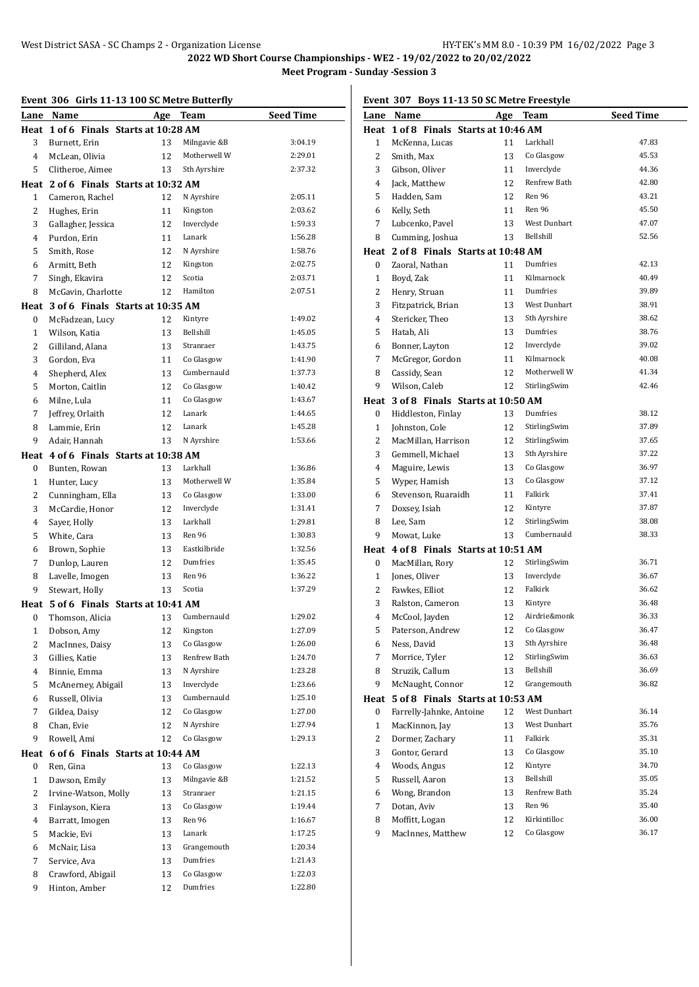**2022 WD Short Course Championships - WE2 - 19/02/2022 to 20/02/2022**

**Meet Program - Sunday -Session 3**

# **Event 306 Girls 11-13 100 SC Metre Butterfly**

| event 300      | GIFTS 11-13 TOO SC METTE BUTTEFIIY    |          |              |                  |
|----------------|---------------------------------------|----------|--------------|------------------|
| Lane           | Name                                  |          | Age Team     | <b>Seed Time</b> |
|                | Heat 1 of 6 Finals Starts at 10:28 AM |          |              |                  |
| 3              | Burnett, Erin                         | 13       | Milngavie &B | 3:04.19          |
| 4              | McLean, Olivia                        | 12       | Motherwell W | 2:29.01          |
| 5              | Clitheroe, Aimee                      | 13       | Sth Ayrshire | 2:37.32          |
|                | Heat 2 of 6 Finals Starts at 10:32 AM |          |              |                  |
| $\mathbf{1}$   | Cameron, Rachel                       | 12       | N Ayrshire   | 2:05.11          |
| 2              | Hughes, Erin                          | 11       | Kingston     | 2:03.62          |
| 3              | Gallagher, Jessica                    | 12       | Inverclyde   | 1:59.33          |
| 4              | Purdon, Erin                          | 11       | Lanark       | 1:56.28          |
| 5              | Smith, Rose                           | 12       | N Ayrshire   | 1:58.76          |
| 6              | Armitt, Beth                          | 12       | Kingston     | 2:02.75          |
| 7              | Singh, Ekavira                        | 12       | Scotia       | 2:03.71          |
| 8              | McGavin, Charlotte                    | 12       | Hamilton     | 2:07.51          |
|                | Heat 3 of 6 Finals Starts at 10:35 AM |          |              |                  |
| 0              | McFadzean, Lucy                       | 12       | Kintyre      | 1:49.02          |
| $\mathbf{1}$   | Wilson, Katia                         | 13       | Bellshill    | 1:45.05          |
| 2              | Gilliland, Alana                      | 13       | Stranraer    | 1:43.75          |
| 3              | Gordon, Eva                           | 11       | Co Glasgow   | 1:41.90          |
|                | Shepherd, Alex                        |          | Cumbernauld  | 1:37.73          |
| 4              |                                       | 13       |              |                  |
| 5              | Morton, Caitlin                       | 12       | Co Glasgow   | 1:40.42          |
| 6              | Milne, Lula                           | 11       | Co Glasgow   | 1:43.67          |
| 7              | Jeffrey, Orlaith                      | 12       | Lanark       | 1:44.65          |
| 8              | Lammie, Erin                          | 12       | Lanark       | 1:45.28          |
| 9              | Adair, Hannah                         | 13       | N Ayrshire   | 1:53.66          |
|                | Heat 4 of 6 Finals Starts at 10:38 AM |          |              |                  |
| 0              | Bunten, Rowan                         | 13       | Larkhall     | 1:36.86          |
| 1              | Hunter, Lucy                          | 13       | Motherwell W | 1:35.84          |
| 2              | Cunningham, Ella                      | 13       | Co Glasgow   | 1:33.00          |
| 3              | McCardie, Honor                       | 12       | Inverclyde   | 1:31.41          |
| 4              | Sayer, Holly                          | 13       | Larkhall     | 1:29.81          |
| 5              | White, Cara                           | 13       | Ren 96       | 1:30.83          |
| 6              | Brown, Sophie                         | 13       | Eastkilbride | 1:32.56          |
| 7              | Dunlop, Lauren                        | 12       | Dumfries     | 1:35.45          |
| 8              | Lavelle, Imogen                       | 13       | Ren 96       | 1:36.22          |
| 9              | Stewart, Holly                        | 13       | Scotia       | 1:37.29          |
|                | Heat 5 of 6 Finals Starts at 10:41 AM |          |              |                  |
| 0              | Thomson, Alicia                       | 13       | Cumbernauld  | 1:29.02          |
| $\mathbf{1}$   | Dobson, Amy                           | 12       | Kingston     | 1:27.09          |
| $\overline{c}$ | MacInnes, Daisy                       | 13       | Co Glasgow   | 1:26.00          |
| 3              | Gillies, Katie                        | 13       | Renfrew Bath | 1:24.70          |
| 4              | Binnie, Emma                          | 13       | N Ayrshire   | 1:23.28          |
| 5              | McAnerney, Abigail                    | 13       | Inverclyde   | 1:23.66          |
|                | Russell, Olivia                       |          | Cumbernauld  | 1:25.10          |
| 6<br>7         |                                       | 13<br>12 | Co Glasgow   | 1:27.00          |
|                | Gildea, Daisy                         |          |              |                  |
| 8              | Chan, Evie                            | 12       | N Ayrshire   | 1:27.94          |
| 9              | Rowell, Ami                           | 12       | Co Glasgow   | 1:29.13          |
|                | Heat 6 of 6 Finals Starts at 10:44 AM |          |              |                  |
| 0              | Ren, Gina                             | 13       | Co Glasgow   | 1:22.13          |
| $\mathbf{1}$   | Dawson, Emily                         | 13       | Milngavie &B | 1:21.52          |
| 2              | Irvine-Watson, Molly                  | 13       | Stranraer    | 1:21.15          |
| 3              | Finlayson, Kiera                      | 13       | Co Glasgow   | 1:19.44          |
| 4              | Barratt, Imogen                       | 13       | Ren 96       | 1:16.67          |
| 5              | Mackie, Evi                           | 13       | Lanark       | 1:17.25          |
| 6              | McNair, Lisa                          | 13       | Grangemouth  | 1:20.34          |
| 7              | Service, Ava                          | 13       | Dumfries     | 1:21.43          |
| 8              | Crawford, Abigail                     | 13       | Co Glasgow   | 1:22.03          |
| 9              | Hinton, Amber                         | 12       | Dumfries     | 1:22.80          |
|                |                                       |          |              |                  |

# **Event 307 Boys 11-13 50 SC Metre Freestyle**

|              | Lane Name                             |            | Team                    | <b>Seed Time</b> |
|--------------|---------------------------------------|------------|-------------------------|------------------|
|              | Heat 1 of 8 Finals Starts at 10:46 AM | <b>Age</b> |                         |                  |
| 1            | McKenna, Lucas                        | 11         | Larkhall                | 47.83            |
| 2            | Smith, Max                            | 13         | Co Glasgow              | 45.53            |
|              |                                       |            | Inverclyde              | 44.36            |
| 3            | Gibson, Oliver                        | 11         | Renfrew Bath            |                  |
| 4            | Jack, Matthew                         | 12         |                         | 42.80            |
| 5            | Hadden, Sam                           | 12         | Ren 96                  | 43.21            |
| 6            | Kelly, Seth                           | 11         | Ren 96                  | 45.50            |
| 7            | Lubcenko, Pavel                       | 13         | West Dunbart            | 47.07            |
| 8            | Cumming, Joshua                       | 13         | Bellshill               | 52.56            |
|              | Heat 2 of 8 Finals Starts at 10:48 AM |            |                         |                  |
| 0            | Zaoral, Nathan                        | 11         | Dumfries                | 42.13            |
| $\mathbf{1}$ | Boyd, Zak                             | 11         | Kilmarnock              | 40.49            |
| 2            | Henry, Struan                         | 11         | Dumfries                | 39.89            |
| 3            | Fitzpatrick, Brian                    | 13         | West Dunbart            | 38.91            |
| 4            | Stericker, Theo                       | 13         | Sth Ayrshire            | 38.62            |
| 5            | Hatab, Ali                            | 13         | Dumfries                | 38.76            |
| 6            | Bonner, Layton                        | 12         | Inverclyde              | 39.02            |
| 7            | McGregor, Gordon                      | 11         | Kilmarnock              | 40.08            |
| 8            | Cassidy, Sean                         | 12         | Motherwell W            | 41.34            |
| 9            | Wilson, Caleb                         | 12         | StirlingSwim            | 42.46            |
|              | Heat 3 of 8 Finals Starts at 10:50 AM |            |                         |                  |
| 0            | Hiddleston, Finlay                    | 13         | Dumfries                | 38.12            |
| $\mathbf{1}$ | Johnston, Cole                        | 12         | StirlingSwim            | 37.89            |
| 2            | MacMillan, Harrison                   | 12         | StirlingSwim            | 37.65            |
| 3            | Gemmell, Michael                      | 13         | Sth Ayrshire            | 37.22            |
| 4            | Maguire, Lewis                        | 13         | Co Glasgow              | 36.97            |
| 5            | Wyper, Hamish                         | 13         | Co Glasgow              | 37.12            |
| 6            | Stevenson, Ruaraidh                   | 11         | Falkirk                 | 37.41            |
| 7            | Doxsey, Isiah                         | 12         | Kintyre                 | 37.87            |
| 8            | Lee, Sam                              | 12         | StirlingSwim            | 38.08            |
| 9            | Mowat, Luke                           | 13         | Cumbernauld             | 38.33            |
| Heat         | 4 of 8 Finals Starts at 10:51 AM      |            |                         |                  |
| 0            | MacMillan, Rory                       | 12         | StirlingSwim            | 36.71            |
| 1            | Jones, Oliver                         | 13         | Inverclyde              | 36.67            |
| 2            | Fawkes, Elliot                        | 12         | Falkirk                 | 36.62            |
| 3            |                                       | 13         |                         | 36.48            |
|              | Ralston, Cameron                      |            | Kintyre<br>Airdrie&monk | 36.33            |
| 4            | McCool, Jayden                        | 12         |                         |                  |
| 5            | Paterson, Andrew                      | 12         | Co Glasgow              | 36.47            |
| 6            | Ness, David                           | 13         | Sth Ayrshire            | 36.48            |
| 7            | Morrice, Tyler                        | 12         | StirlingSwim            | 36.63            |
| 8            | Struzik, Callum                       | 13         | Bellshill               | 36.69            |
| 9            | McNaught, Connor                      | 12         | Grangemouth             | 36.82            |
| Heat         | 5 of 8 Finals Starts at 10:53 AM      |            |                         |                  |
| 0            | Farrelly-Jahnke, Antoine              | 12         | West Dunbart            | 36.14            |
| 1            | MacKinnon, Jay                        | 13         | West Dunbart            | 35.76            |
| 2            | Dormer, Zachary                       | 11         | Falkirk                 | 35.31            |
| 3            | Gontor, Gerard                        | 13         | Co Glasgow              | 35.10            |
| 4            | Woods, Angus                          | 12         | Kintyre                 | 34.70            |
| 5            | Russell, Aaron                        | 13         | Bellshill               | 35.05            |
| 6            | Wong, Brandon                         | 13         | Renfrew Bath            | 35.24            |
| 7            | Dotan, Aviv                           | 13         | Ren 96                  | 35.40            |
| 8            | Moffitt, Logan                        | 12         | Kirkintilloc            | 36.00            |
| 9            | MacInnes, Matthew                     | 12         | Co Glasgow              | 36.17            |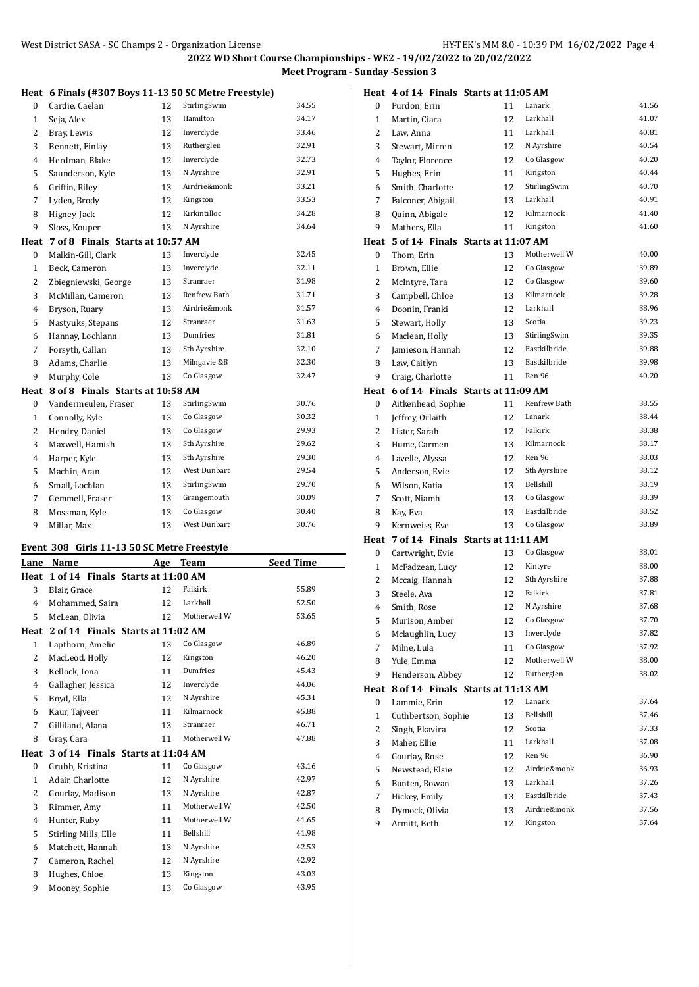|              | Heat 6 Finals (#307 Boys 11-13 50 SC Metre Freestyle) |     |              |                  |
|--------------|-------------------------------------------------------|-----|--------------|------------------|
| 0            | Cardie, Caelan                                        | 12  | StirlingSwim | 34.55            |
| $\mathbf{1}$ | Seja, Alex                                            | 13  | Hamilton     | 34.17            |
| 2            | Bray, Lewis                                           | 12  | Inverclyde   | 33.46            |
| 3            | Bennett, Finlay                                       | 13  | Rutherglen   | 32.91            |
| 4            | Herdman, Blake                                        | 12  | Inverclyde   | 32.73            |
| 5            | Saunderson, Kyle                                      | 13  | N Ayrshire   | 32.91            |
| 6            | Griffin, Riley                                        | 13  | Airdrie&monk | 33.21            |
| 7            | Lyden, Brody                                          | 12  | Kingston     | 33.53            |
| 8            | Higney, Jack                                          | 12  | Kirkintilloc | 34.28            |
| 9            | Sloss, Kouper                                         | 13  | N Ayrshire   | 34.64            |
| Heat         | 7 of 8 Finals Starts at 10:57 AM                      |     |              |                  |
| 0            | Malkin-Gill, Clark                                    | 13  | Inverclyde   | 32.45            |
| $\mathbf{1}$ | Beck, Cameron                                         | 13  | Inverclyde   | 32.11            |
| 2            | Zbiegniewski, George                                  | 13  | Stranraer    | 31.98            |
| 3            | McMillan, Cameron                                     | 13  | Renfrew Bath | 31.71            |
| 4            | Bryson, Ruary                                         | 13  | Airdrie&monk | 31.57            |
| 5            | Nastyuks, Stepans                                     | 12  | Stranraer    | 31.63            |
| 6            | Hannay, Lochlann                                      | 13  | Dumfries     | 31.81            |
| 7            | Forsyth, Callan                                       | 13  | Sth Ayrshire | 32.10            |
| 8            | Adams, Charlie                                        | 13  | Milngavie &B | 32.30            |
| 9            | Murphy, Cole                                          | 13  | Co Glasgow   | 32.47            |
| Heat         | 8 of 8 Finals Starts at 10:58 AM                      |     |              |                  |
| 0            | Vandermeulen, Fraser                                  | 13  | StirlingSwim | 30.76            |
| $\mathbf{1}$ | Connolly, Kyle                                        | 13  | Co Glasgow   | 30.32            |
| 2            | Hendry, Daniel                                        | 13  | Co Glasgow   | 29.93            |
| 3            | Maxwell, Hamish                                       | 13  | Sth Ayrshire | 29.62            |
| 4            | Harper, Kyle                                          | 13  | Sth Ayrshire | 29.30            |
| 5            | Machin, Aran                                          | 12  | West Dunbart | 29.54            |
| 6            | Small, Lochlan                                        | 13  | StirlingSwim | 29.70            |
| 7            | Gemmell, Fraser                                       | 13  | Grangemouth  | 30.09            |
| 8            | Mossman, Kyle                                         | 13  | Co Glasgow   | 30.40            |
| 9            | Millar, Max                                           | 13  | West Dunbart | 30.76            |
|              | Event 308 Girls 11-13 50 SC Metre Freestyle           |     |              |                  |
| Lane         | Name                                                  | Age | <b>Team</b>  | <b>Seed Time</b> |
|              | Heat 1 of 14 Finals Starts at 11:00 AM                |     |              |                  |

|                | .                    |                                        |              | $ -$  |
|----------------|----------------------|----------------------------------------|--------------|-------|
|                |                      | Heat 1 of 14 Finals Starts at 11:00 AM |              |       |
| 3              | Blair, Grace         | 12                                     | Falkirk      | 55.89 |
| 4              | Mohammed, Saira      | 12                                     | Larkhall     | 52.50 |
| 5              | McLean, Olivia       | 12                                     | Motherwell W | 53.65 |
| Heat           |                      | 2 of 14 Finals Starts at 11:02 AM      |              |       |
| $\mathbf{1}$   | Lapthorn, Amelie     | 13                                     | Co Glasgow   | 46.89 |
| 2              | MacLeod, Holly       | 12                                     | Kingston     | 46.20 |
| 3              | Kellock, Iona        | 11                                     | Dumfries     | 45.43 |
| $\overline{4}$ | Gallagher, Jessica   | 12                                     | Inverclyde   | 44.06 |
| 5              | Boyd, Ella           | 12                                     | N Ayrshire   | 45.31 |
| 6              | Kaur, Tajveer        | 11                                     | Kilmarnock   | 45.88 |
| 7              | Gilliland, Alana     | 13                                     | Stranraer    | 46.71 |
| 8              | Gray, Cara           | 11                                     | Motherwell W | 47.88 |
| Heat           |                      | 3 of 14 Finals Starts at 11:04 AM      |              |       |
| $\bf{0}$       | Grubb, Kristina      | 11                                     | Co Glasgow   | 43.16 |
| $\mathbf{1}$   | Adair, Charlotte     | 12                                     | N Ayrshire   | 42.97 |
| 2              | Gourlay, Madison     | 13                                     | N Ayrshire   | 42.87 |
| 3              | Rimmer, Amy          | 11                                     | Motherwell W | 42.50 |
| $\overline{4}$ | Hunter, Ruby         | 11                                     | Motherwell W | 41.65 |
| 5              | Stirling Mills, Elle | 11                                     | Bellshill    | 41.98 |
| 6              | Matchett, Hannah     | 13                                     | N Ayrshire   | 42.53 |
| 7              | Cameron, Rachel      | 12                                     | N Ayrshire   | 42.92 |
| 8              | Hughes, Chloe        | 13                                     | Kingston     | 43.03 |
| 9              | Mooney, Sophie       | 13                                     | Co Glasgow   | 43.95 |
|                |                      |                                        |              |       |

|                | Heat 4 of 14 Finals Starts at 11:05 AM |    |              |       |
|----------------|----------------------------------------|----|--------------|-------|
| 0              | Purdon, Erin                           | 11 | Lanark       | 41.56 |
| $\mathbf{1}$   | Martin, Ciara                          | 12 | Larkhall     | 41.07 |
| 2              | Law, Anna                              | 11 | Larkhall     | 40.81 |
| 3              | Stewart, Mirren                        | 12 | N Ayrshire   | 40.54 |
| 4              | Taylor, Florence                       | 12 | Co Glasgow   | 40.20 |
| 5              | Hughes, Erin                           | 11 | Kingston     | 40.44 |
| 6              | Smith, Charlotte                       | 12 | StirlingSwim | 40.70 |
| 7              | Falconer, Abigail                      | 13 | Larkhall     | 40.91 |
| 8              | Quinn, Abigale                         | 12 | Kilmarnock   | 41.40 |
| 9              | Mathers, Ella                          | 11 | Kingston     | 41.60 |
|                | Heat 5 of 14 Finals Starts at 11:07 AM |    |              |       |
| 0              | Thom, Erin                             | 13 | Motherwell W | 40.00 |
| $\mathbf{1}$   | Brown, Ellie                           | 12 | Co Glasgow   | 39.89 |
| 2              | McIntyre, Tara                         | 12 | Co Glasgow   | 39.60 |
| 3              | Campbell, Chloe                        | 13 | Kilmarnock   | 39.28 |
| 4              | Doonin, Franki                         | 12 | Larkhall     | 38.96 |
| 5              | Stewart, Holly                         | 13 | Scotia       | 39.23 |
| 6              | Maclean, Holly                         | 13 | StirlingSwim | 39.35 |
| 7              | Jamieson, Hannah                       | 12 | Eastkilbride | 39.88 |
| 8              | Law, Caitlyn                           | 13 | Eastkilbride | 39.98 |
| 9              | Craig, Charlotte                       | 11 | Ren 96       | 40.20 |
|                | Heat 6 of 14 Finals Starts at 11:09 AM |    |              |       |
| 0              | Aitkenhead, Sophie                     | 11 | Renfrew Bath | 38.55 |
| $\mathbf{1}$   | Jeffrey, Orlaith                       | 12 | Lanark       | 38.44 |
| 2              | Lister, Sarah                          | 12 | Falkirk      | 38.38 |
| 3              | Hume, Carmen                           | 13 | Kilmarnock   | 38.17 |
| 4              | Lavelle, Alyssa                        | 12 | Ren 96       | 38.03 |
| 5              | Anderson, Evie                         | 12 | Sth Ayrshire | 38.12 |
| 6              | Wilson, Katia                          | 13 | Bellshill    | 38.19 |
| 7              | Scott, Niamh                           | 13 | Co Glasgow   | 38.39 |
| 8              | Kay, Eva                               | 13 | Eastkilbride | 38.52 |
| 9              | Kernweiss, Eve                         | 13 | Co Glasgow   | 38.89 |
|                | Heat 7 of 14 Finals Starts at 11:11 AM |    |              |       |
| 0              | Cartwright, Evie                       | 13 | Co Glasgow   | 38.01 |
| $\mathbf{1}$   | McFadzean, Lucy                        | 12 | Kintyre      | 38.00 |
| 2              | Mccaig, Hannah                         | 12 | Sth Ayrshire | 37.88 |
| 3              | Steele, Ava                            | 12 | Falkirk      | 37.81 |
| $\overline{4}$ | Smith, Rose                            | 12 | N Ayrshire   | 37.68 |
| 5              | Murison, Amber                         | 12 | Co Glasgow   | 37.70 |
| 6              | Mclaughlin, Lucy                       | 13 | Inverclyde   | 37.82 |
| 7              | Milne, Lula                            | 11 | Co Glasgow   | 37.92 |
| 8              | Yule, Emma                             | 12 | Motherwell W | 38.00 |
| 9              | Henderson, Abbey                       | 12 | Rutherglen   | 38.02 |
| Heat           | 8 of 14 Finals Starts at 11:13 AM      |    |              |       |
| 0              | Lammie, Erin                           | 12 | Lanark       | 37.64 |
| $\mathbf{1}$   | Cuthbertson, Sophie                    | 13 | Bellshill    | 37.46 |
| 2              | Singh, Ekavira                         | 12 | Scotia       | 37.33 |
| 3              | Maher, Ellie                           | 11 | Larkhall     | 37.08 |
| 4              | Gourlay, Rose                          | 12 | Ren 96       | 36.90 |
| 5              | Newstead, Elsie                        | 12 | Airdrie&monk | 36.93 |
| 6              | Bunten, Rowan                          | 13 | Larkhall     | 37.26 |
| 7              | Hickey, Emily                          | 13 | Eastkilbride | 37.43 |
| 8              | Dymock, Olivia                         | 13 | Airdrie&monk | 37.56 |
| 9              | Armitt, Beth                           | 12 | Kingston     | 37.64 |
|                |                                        |    |              |       |